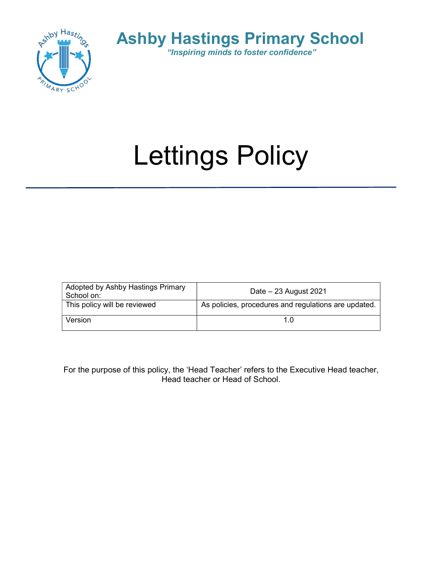



# Lettings Policy

| Adopted by Ashby Hastings Primary<br>School on: | Date $-23$ August 2021                               |
|-------------------------------------------------|------------------------------------------------------|
| This policy will be reviewed                    | As policies, procedures and regulations are updated. |
| Version                                         |                                                      |

For the purpose of this policy, the 'Head Teacher' refers to the Executive Head teacher, Head teacher or Head of School.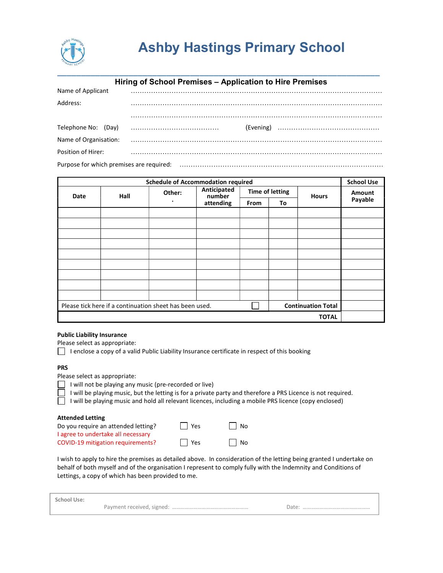

|                        | Hiring of School Premises - Application to Hire Premises |
|------------------------|----------------------------------------------------------|
| Name of Applicant      |                                                          |
| Address:               |                                                          |
|                        |                                                          |
| (Day)<br>Telephone No: | (Evening)                                                |
| Name of Organisation:  |                                                          |
| Position of Hirer:     |                                                          |
|                        | Purpose for which premises are required:                 |

|      | <b>Schedule of Accommodation required</b>               |        |                       |                        |    | <b>School Use</b>         |         |
|------|---------------------------------------------------------|--------|-----------------------|------------------------|----|---------------------------|---------|
| Date | Hall                                                    | Other: | Anticipated<br>number | <b>Time of letting</b> |    | <b>Hours</b>              | Amount  |
|      |                                                         |        | attending             | From                   | To |                           | Payable |
|      |                                                         |        |                       |                        |    |                           |         |
|      |                                                         |        |                       |                        |    |                           |         |
|      |                                                         |        |                       |                        |    |                           |         |
|      |                                                         |        |                       |                        |    |                           |         |
|      |                                                         |        |                       |                        |    |                           |         |
|      |                                                         |        |                       |                        |    |                           |         |
|      |                                                         |        |                       |                        |    |                           |         |
|      |                                                         |        |                       |                        |    |                           |         |
|      |                                                         |        |                       |                        |    |                           |         |
|      | Please tick here if a continuation sheet has been used. |        |                       |                        |    | <b>Continuation Total</b> |         |
|      |                                                         |        |                       |                        |    | <b>TOTAL</b>              |         |

## Public Liability Insurance

Please select as appropriate:

 $\Box$  I enclose a copy of a valid Public Liability Insurance certificate in respect of this booking

### PRS

Please select as appropriate:

|  | I will not be playing any music (pre-recorded or live) |  |
|--|--------------------------------------------------------|--|
|  |                                                        |  |

I will be playing music, but the letting is for a private party and therefore a PRS Licence is not required.

I will be playing music and hold all relevant licences, including a mobile PRS licence (copy enclosed)

#### Attended Letting

| Do you require an attended letting? | $\blacksquare$ Yes | l I No    |
|-------------------------------------|--------------------|-----------|
| I agree to undertake all necessary  |                    |           |
| COVID-19 mitigation requirements?   | $\Box$ Yes         | $\Box$ No |

I wish to apply to hire the premises as detailed above. In consideration of the letting being granted I undertake on behalf of both myself and of the organisation I represent to comply fully with the Indemnity and Conditions of Lettings, a copy of which has been provided to me.

| <b>School Use:</b> |       |
|--------------------|-------|
|                    | Ddle. |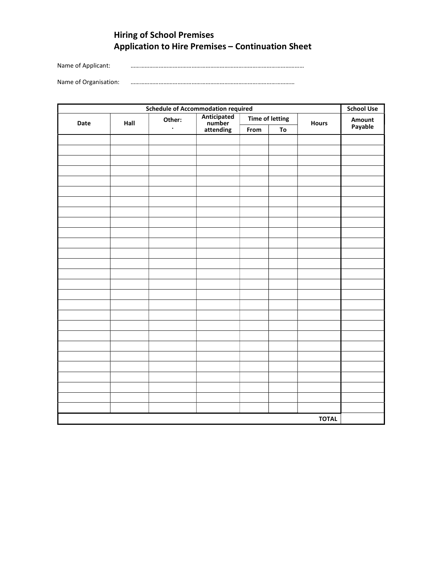# Hiring of School Premises Application to Hire Premises – Continuation Sheet

Name of Applicant: …………………………………………………………………………………………………

Name of Organisation: ……………………………………………………………………………………………

| <b>Schedule of Accommodation required</b> |      |                |                                    |                        |    |              |         |
|-------------------------------------------|------|----------------|------------------------------------|------------------------|----|--------------|---------|
| Date                                      | Hall | Other:         | Anticipated<br>number<br>attending | <b>Time of letting</b> |    | Hours        | Amount  |
|                                           |      | $\blacksquare$ |                                    | From                   | To |              | Payable |
|                                           |      |                |                                    |                        |    |              |         |
|                                           |      |                |                                    |                        |    |              |         |
|                                           |      |                |                                    |                        |    |              |         |
|                                           |      |                |                                    |                        |    |              |         |
|                                           |      |                |                                    |                        |    |              |         |
|                                           |      |                |                                    |                        |    |              |         |
|                                           |      |                |                                    |                        |    |              |         |
|                                           |      |                |                                    |                        |    |              |         |
|                                           |      |                |                                    |                        |    |              |         |
|                                           |      |                |                                    |                        |    |              |         |
|                                           |      |                |                                    |                        |    |              |         |
|                                           |      |                |                                    |                        |    |              |         |
|                                           |      |                |                                    |                        |    |              |         |
|                                           |      |                |                                    |                        |    |              |         |
|                                           |      |                |                                    |                        |    |              |         |
|                                           |      |                |                                    |                        |    |              |         |
|                                           |      |                |                                    |                        |    |              |         |
|                                           |      |                |                                    |                        |    |              |         |
|                                           |      |                |                                    |                        |    |              |         |
|                                           |      |                |                                    |                        |    |              |         |
|                                           |      |                |                                    |                        |    |              |         |
|                                           |      |                |                                    |                        |    |              |         |
|                                           |      |                |                                    |                        |    |              |         |
|                                           |      |                |                                    |                        |    |              |         |
|                                           |      |                |                                    |                        |    |              |         |
|                                           |      |                |                                    |                        |    |              |         |
|                                           |      |                |                                    |                        |    |              |         |
|                                           |      |                |                                    |                        |    |              |         |
|                                           |      |                |                                    |                        |    | <b>TOTAL</b> |         |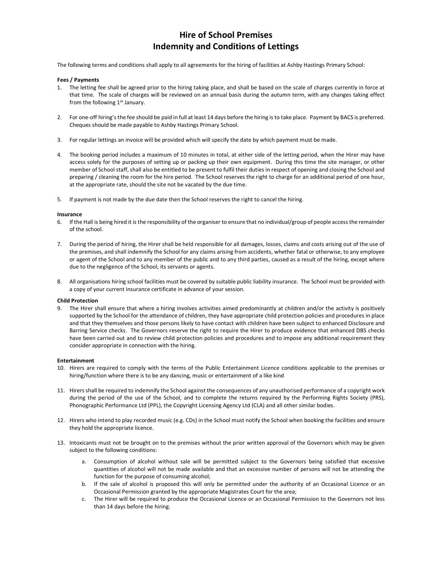# Hire of School Premises Indemnity and Conditions of Lettings

The following terms and conditions shall apply to all agreements for the hiring of facilities at Ashby Hastings Primary School:

#### Fees / Payments

- 1. The letting fee shall be agreed prior to the hiring taking place, and shall be based on the scale of charges currently in force at that time. The scale of charges will be reviewed on an annual basis during the autumn term, with any changes taking effect from the following 1<sup>st</sup> January.
- 2. For one-off hiring's the fee should be paid in full at least 14 days before the hiring is to take place. Payment by BACS is preferred. Cheques should be made payable to Ashby Hastings Primary School.
- 3. For regular lettings an invoice will be provided which will specify the date by which payment must be made.
- 4. The booking period includes a maximum of 10 minutes in total, at either side of the letting period, when the Hirer may have access solely for the purposes of setting up or packing up their own equipment. During this time the site manager, or other member of School staff, shall also be entitled to be present to fulfil their duties in respect of opening and closing the School and preparing / cleaning the room for the hire period. The School reserves the right to charge for an additional period of one hour, at the appropriate rate, should the site not be vacated by the due time.
- 5. If payment is not made by the due date then the School reserves the right to cancel the hiring.

#### Insurance

- 6. If the Hall is being hired it is the responsibility of the organiser to ensure that no individual/group of people access the remainder of the school.
- 7. During the period of hiring, the Hirer shall be held responsible for all damages, losses, claims and costs arising out of the use of the premises, and shall indemnify the School for any claims arising from accidents, whether fatal or otherwise, to any employee or agent of the School and to any member of the public and to any third parties, caused as a result of the hiring, except where due to the negligence of the School, its servants or agents.
- 8. All organisations hiring school facilities must be covered by suitable public liability insurance. The School must be provided with a copy of your current insurance certificate in advance of your session.

#### Child Protection

9. The Hirer shall ensure that where a hiring involves activities aimed predominantly at children and/or the activity is positively supported by the School for the attendance of children, they have appropriate child protection policies and procedures in place and that they themselves and those persons likely to have contact with children have been subject to enhanced Disclosure and Barring Service checks. The Governors reserve the right to require the Hirer to produce evidence that enhanced DBS checks have been carried out and to review child protection policies and procedures and to impose any additional requirement they consider appropriate in connection with the hiring.

#### Entertainment

- 10. Hirers are required to comply with the terms of the Public Entertainment Licence conditions applicable to the premises or hiring/function where there is to be any dancing, music or entertainment of a like kind
- 11. Hirers shall be required to indemnify the School against the consequences of any unauthorised performance of a copyright work during the period of the use of the School, and to complete the returns required by the Performing Rights Society (PRS), Phonographic Performance Ltd (PPL), the Copyright Licensing Agency Ltd (CLA) and all other similar bodies.
- 12. Hirers who intend to play recorded music (e.g. CDs) in the School must notify the School when booking the facilities and ensure they hold the appropriate licence.
- 13. Intoxicants must not be brought on to the premises without the prior written approval of the Governors which may be given subject to the following conditions:
	- a. Consumption of alcohol without sale will be permitted subject to the Governors being satisfied that excessive quantities of alcohol will not be made available and that an excessive number of persons will not be attending the function for the purpose of consuming alcohol;
	- b. If the sale of alcohol is proposed this will only be permitted under the authority of an Occasional Licence or an Occasional Permission granted by the appropriate Magistrates Court for the area;
	- c. The Hirer will be required to produce the Occasional Licence or an Occasional Permission to the Governors not less than 14 days before the hiring.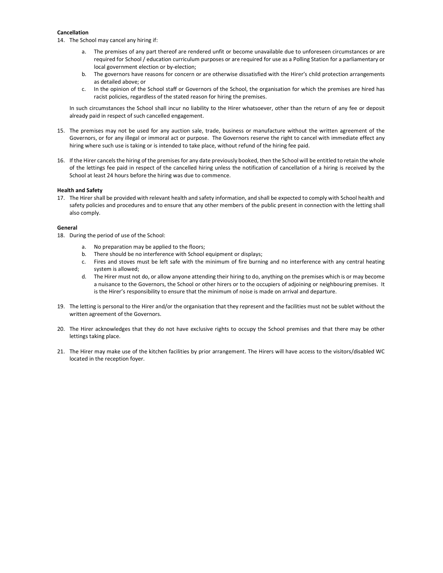#### Cancellation

14. The School may cancel any hiring if:

- a. The premises of any part thereof are rendered unfit or become unavailable due to unforeseen circumstances or are required for School / education curriculum purposes or are required for use as a Polling Station for a parliamentary or local government election or by-election;
- b. The governors have reasons for concern or are otherwise dissatisfied with the Hirer's child protection arrangements as detailed above; or
- c. In the opinion of the School staff or Governors of the School, the organisation for which the premises are hired has racist policies, regardless of the stated reason for hiring the premises.

In such circumstances the School shall incur no liability to the Hirer whatsoever, other than the return of any fee or deposit already paid in respect of such cancelled engagement.

- 15. The premises may not be used for any auction sale, trade, business or manufacture without the written agreement of the Governors, or for any illegal or immoral act or purpose. The Governors reserve the right to cancel with immediate effect any hiring where such use is taking or is intended to take place, without refund of the hiring fee paid.
- 16. If the Hirer cancels the hiring of the premises for any date previously booked, then the School will be entitled to retain the whole of the lettings fee paid in respect of the cancelled hiring unless the notification of cancellation of a hiring is received by the School at least 24 hours before the hiring was due to commence.

#### Health and Safety

17. The Hirer shall be provided with relevant health and safety information, and shall be expected to comply with School health and safety policies and procedures and to ensure that any other members of the public present in connection with the letting shall also comply.

#### General

18. During the period of use of the School:

- a. No preparation may be applied to the floors;
- b. There should be no interference with School equipment or displays;
- c. Fires and stoves must be left safe with the minimum of fire burning and no interference with any central heating system is allowed;
- d. The Hirer must not do, or allow anyone attending their hiring to do, anything on the premises which is or may become a nuisance to the Governors, the School or other hirers or to the occupiers of adjoining or neighbouring premises. It is the Hirer's responsibility to ensure that the minimum of noise is made on arrival and departure.
- 19. The letting is personal to the Hirer and/or the organisation that they represent and the facilities must not be sublet without the written agreement of the Governors.
- 20. The Hirer acknowledges that they do not have exclusive rights to occupy the School premises and that there may be other lettings taking place.
- 21. The Hirer may make use of the kitchen facilities by prior arrangement. The Hirers will have access to the visitors/disabled WC located in the reception foyer.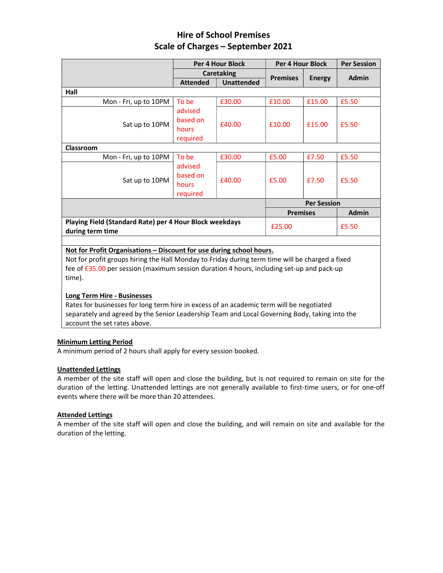# Hire of School Premises Scale of Charges – September 2021

|                                                                                                 | <b>Per 4 Hour Block</b> |                   | <b>Per 4 Hour Block</b> |               | <b>Per Session</b> |  |  |
|-------------------------------------------------------------------------------------------------|-------------------------|-------------------|-------------------------|---------------|--------------------|--|--|
|                                                                                                 | <b>Caretaking</b>       |                   |                         |               |                    |  |  |
|                                                                                                 | <b>Attended</b>         | <b>Unattended</b> | <b>Premises</b>         | <b>Energy</b> | <b>Admin</b>       |  |  |
| Hall                                                                                            |                         |                   |                         |               |                    |  |  |
| Mon - Fri, up to 10PM                                                                           | To be                   | £30.00            | £10.00                  | £15.00        | £5.50              |  |  |
|                                                                                                 | advised                 |                   |                         |               | £5.50              |  |  |
|                                                                                                 | based on                |                   | £10.00                  | £15.00        |                    |  |  |
| Sat up to 10PM                                                                                  | hours                   | £40.00            |                         |               |                    |  |  |
|                                                                                                 | required                |                   |                         |               |                    |  |  |
| <b>Classroom</b>                                                                                |                         |                   |                         |               |                    |  |  |
| Mon - Fri, up to 10PM                                                                           | To be                   | £30.00            | £5.00                   | £7.50         | £5.50              |  |  |
|                                                                                                 | advised                 | £40.00            | £5.00                   | £7.50         | £5.50              |  |  |
| Sat up to 10PM                                                                                  | based on                |                   |                         |               |                    |  |  |
|                                                                                                 | hours                   |                   |                         |               |                    |  |  |
|                                                                                                 | required                |                   |                         |               |                    |  |  |
|                                                                                                 |                         |                   | <b>Per Session</b>      |               |                    |  |  |
|                                                                                                 |                         |                   | <b>Premises</b>         |               | <b>Admin</b>       |  |  |
| Playing Field (Standard Rate) per 4 Hour Block weekdays<br>during term time                     |                         |                   | £25.00                  |               | £5.50              |  |  |
|                                                                                                 |                         |                   |                         |               |                    |  |  |
| Not for Profit Organisations - Discount for use during school hours.                            |                         |                   |                         |               |                    |  |  |
| Not for profit groups hiring the Hall Monday to Friday during term time will be charged a fixed |                         |                   |                         |               |                    |  |  |
|                                                                                                 |                         |                   |                         |               |                    |  |  |

fee of £35.00 per session (maximum session duration 4 hours, including set-up and pack-up time).

# Long Term Hire - Businesses

Rates for businesses for long term hire in excess of an academic term will be negotiated separately and agreed by the Senior Leadership Team and Local Governing Body, taking into the account the set rates above.

# Minimum Letting Period

A minimum period of 2 hours shall apply for every session booked.

# Unattended Lettings

A member of the site staff will open and close the building, but is not required to remain on site for the duration of the letting. Unattended lettings are not generally available to first-time users, or for one-off events where there will be more than 20 attendees.

# Attended Lettings

A member of the site staff will open and close the building, and will remain on site and available for the duration of the letting.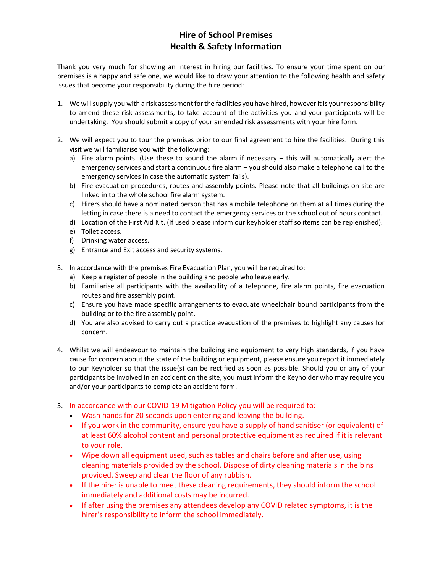# Hire of School Premises Health & Safety Information

Thank you very much for showing an interest in hiring our facilities. To ensure your time spent on our premises is a happy and safe one, we would like to draw your attention to the following health and safety issues that become your responsibility during the hire period:

- 1. We will supply you with a risk assessment for the facilities you have hired, however it is your responsibility to amend these risk assessments, to take account of the activities you and your participants will be undertaking. You should submit a copy of your amended risk assessments with your hire form.
- 2. We will expect you to tour the premises prior to our final agreement to hire the facilities. During this visit we will familiarise you with the following:
	- a) Fire alarm points. (Use these to sound the alarm if necessary this will automatically alert the emergency services and start a continuous fire alarm – you should also make a telephone call to the emergency services in case the automatic system fails).
	- b) Fire evacuation procedures, routes and assembly points. Please note that all buildings on site are linked in to the whole school fire alarm system.
	- c) Hirers should have a nominated person that has a mobile telephone on them at all times during the letting in case there is a need to contact the emergency services or the school out of hours contact.
	- d) Location of the First Aid Kit. (If used please inform our keyholder staff so items can be replenished).
	- e) Toilet access.
	- f) Drinking water access.
	- g) Entrance and Exit access and security systems.
- 3. In accordance with the premises Fire Evacuation Plan, you will be required to:
	- a) Keep a register of people in the building and people who leave early.
	- b) Familiarise all participants with the availability of a telephone, fire alarm points, fire evacuation routes and fire assembly point.
	- c) Ensure you have made specific arrangements to evacuate wheelchair bound participants from the building or to the fire assembly point.
	- d) You are also advised to carry out a practice evacuation of the premises to highlight any causes for concern.
- 4. Whilst we will endeavour to maintain the building and equipment to very high standards, if you have cause for concern about the state of the building or equipment, please ensure you report it immediately to our Keyholder so that the issue(s) can be rectified as soon as possible. Should you or any of your participants be involved in an accident on the site, you must inform the Keyholder who may require you and/or your participants to complete an accident form.
- 5. In accordance with our COVID-19 Mitigation Policy you will be required to:
	- Wash hands for 20 seconds upon entering and leaving the building.
	- If you work in the community, ensure you have a supply of hand sanitiser (or equivalent) of at least 60% alcohol content and personal protective equipment as required if it is relevant to your role.
	- Wipe down all equipment used, such as tables and chairs before and after use, using cleaning materials provided by the school. Dispose of dirty cleaning materials in the bins provided. Sweep and clear the floor of any rubbish.
	- If the hirer is unable to meet these cleaning requirements, they should inform the school immediately and additional costs may be incurred.
	- If after using the premises any attendees develop any COVID related symptoms, it is the hirer's responsibility to inform the school immediately.